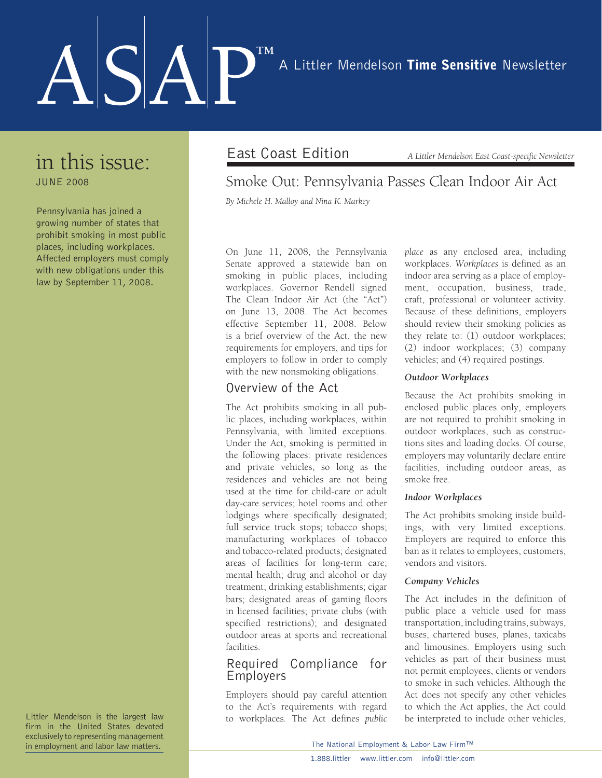# ASAP™ A Littler Mendelson Time Sensitive Newsletter

### in this issue:

June 2008

Pennsylvania has joined a growing number of states that prohibit smoking in most public places, including workplaces. Affected employers must comply with new obligations under this law by September 11, 2008.

Littler Mendelson is the largest law firm in the United States devoted exclusively to representing management in employment and labor law matters.

East Coast Edition *A Littler Mendelson East Coast-specific Newsletter*

### Smoke Out: Pennsylvania Passes Clean Indoor Air Act

*By Michele H. Malloy and Nina K. Markey*

On June 11, 2008, the Pennsylvania Senate approved a statewide ban on smoking in public places, including workplaces. Governor Rendell signed The Clean Indoor Air Act (the "Act") on June 13, 2008. The Act becomes effective September 11, 2008. Below is a brief overview of the Act, the new requirements for employers, and tips for employers to follow in order to comply with the new nonsmoking obligations.

#### Overview of the Act

The Act prohibits smoking in all public places, including workplaces, within Pennsylvania, with limited exceptions. Under the Act, smoking is permitted in the following places: private residences and private vehicles, so long as the residences and vehicles are not being used at the time for child-care or adult day-care services; hotel rooms and other lodgings where specifically designated; full service truck stops; tobacco shops; manufacturing workplaces of tobacco and tobacco-related products; designated areas of facilities for long-term care; mental health; drug and alcohol or day treatment; drinking establishments; cigar bars; designated areas of gaming floors in licensed facilities; private clubs (with specified restrictions); and designated outdoor areas at sports and recreational facilities.

#### Required Compliance for Employers

Employers should pay careful attention to the Act's requirements with regard to workplaces. The Act defines *public*  *place* as any enclosed area, including workplaces. *Workplaces* is defined as an indoor area serving as a place of employment, occupation, business, trade, craft, professional or volunteer activity. Because of these definitions, employers should review their smoking policies as they relate to: (1) outdoor workplaces; (2) indoor workplaces; (3) company vehicles; and (4) required postings.

#### *Outdoor Workplaces*

Because the Act prohibits smoking in enclosed public places only, employers are not required to prohibit smoking in outdoor workplaces, such as constructions sites and loading docks. Of course, employers may voluntarily declare entire facilities, including outdoor areas, as smoke free.

#### *Indoor Workplaces*

The Act prohibits smoking inside buildings, with very limited exceptions. Employers are required to enforce this ban as it relates to employees, customers, vendors and visitors.

#### *Company Vehicles*

The Act includes in the definition of public place a vehicle used for mass transportation, including trains, subways, buses, chartered buses, planes, taxicabs and limousines. Employers using such vehicles as part of their business must not permit employees, clients or vendors to smoke in such vehicles. Although the Act does not specify any other vehicles to which the Act applies, the Act could be interpreted to include other vehicles,